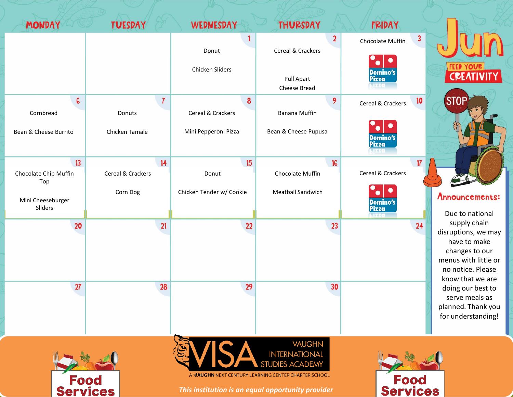



*This institution is an equal opportunity provider*

Food

**Services** 

Food **Services**